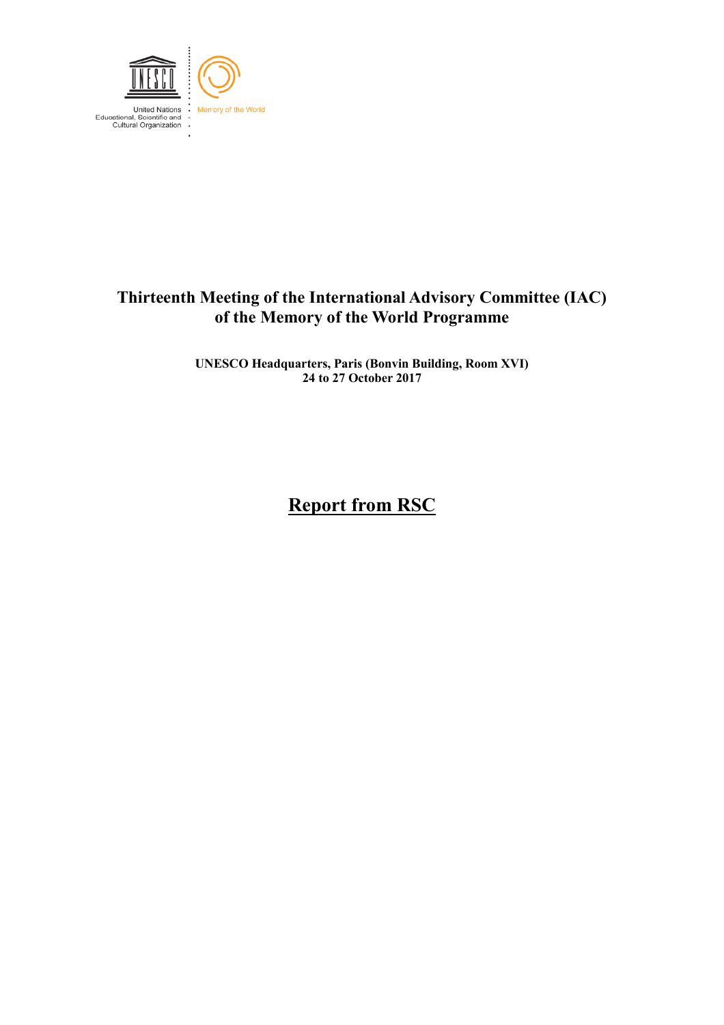

## **Thirteenth Meeting of the International Advisory Committee (IAC) of the Memory of the World Programme**

**UNESCO Headquarters, Paris (Bonvin Building, Room XVI) 24 to 27 October 2017**

# **Report from RSC**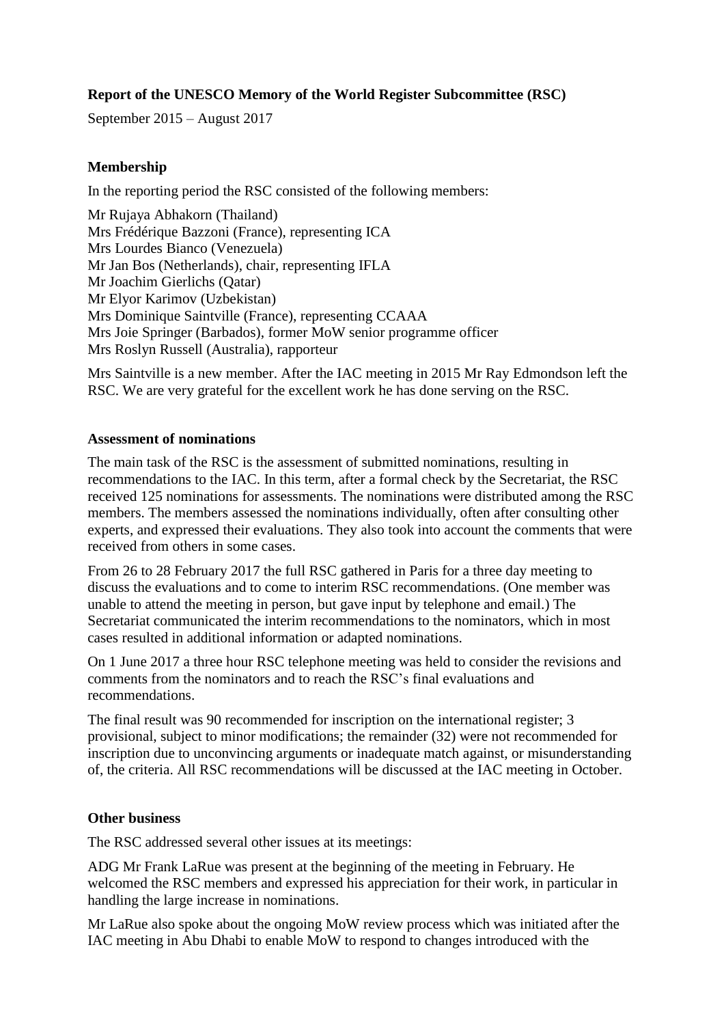### **Report of the UNESCO Memory of the World Register Subcommittee (RSC)**

September 2015 – August 2017

#### **Membership**

In the reporting period the RSC consisted of the following members:

Mr Rujaya Abhakorn (Thailand) Mrs Frédérique Bazzoni (France), representing ICA Mrs Lourdes Bianco (Venezuela) Mr Jan Bos (Netherlands), chair, representing IFLA Mr Joachim Gierlichs (Qatar) Mr Elyor Karimov (Uzbekistan) Mrs Dominique Saintville (France), representing CCAAA Mrs Joie Springer (Barbados), former MoW senior programme officer Mrs Roslyn Russell (Australia), rapporteur

Mrs Saintville is a new member. After the IAC meeting in 2015 Mr Ray Edmondson left the RSC. We are very grateful for the excellent work he has done serving on the RSC.

#### **Assessment of nominations**

The main task of the RSC is the assessment of submitted nominations, resulting in recommendations to the IAC. In this term, after a formal check by the Secretariat, the RSC received 125 nominations for assessments. The nominations were distributed among the RSC members. The members assessed the nominations individually, often after consulting other experts, and expressed their evaluations. They also took into account the comments that were received from others in some cases.

From 26 to 28 February 2017 the full RSC gathered in Paris for a three day meeting to discuss the evaluations and to come to interim RSC recommendations. (One member was unable to attend the meeting in person, but gave input by telephone and email.) The Secretariat communicated the interim recommendations to the nominators, which in most cases resulted in additional information or adapted nominations.

On 1 June 2017 a three hour RSC telephone meeting was held to consider the revisions and comments from the nominators and to reach the RSC's final evaluations and recommendations.

The final result was 90 recommended for inscription on the international register; 3 provisional, subject to minor modifications; the remainder (32) were not recommended for inscription due to unconvincing arguments or inadequate match against, or misunderstanding of, the criteria. All RSC recommendations will be discussed at the IAC meeting in October.

#### **Other business**

The RSC addressed several other issues at its meetings:

ADG Mr Frank LaRue was present at the beginning of the meeting in February. He welcomed the RSC members and expressed his appreciation for their work, in particular in handling the large increase in nominations.

Mr LaRue also spoke about the ongoing MoW review process which was initiated after the IAC meeting in Abu Dhabi to enable MoW to respond to changes introduced with the